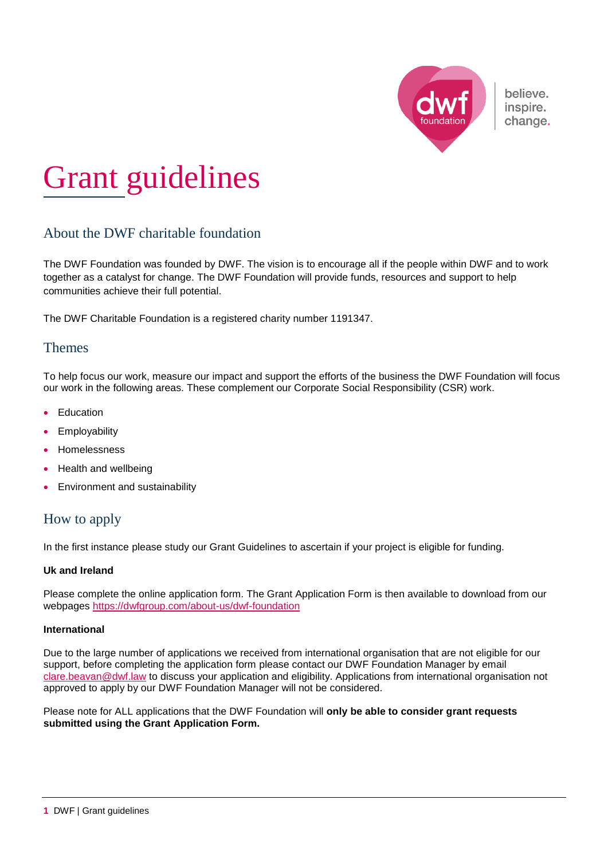

believe. inspire. change.

# Grant guidelines

# About the DWF charitable foundation

The DWF Foundation was founded by DWF. The vision is to encourage all if the people within DWF and to work together as a catalyst for change. The DWF Foundation will provide funds, resources and support to help communities achieve their full potential.

The DWF Charitable Foundation is a registered charity number 1191347.

## Themes

To help focus our work, measure our impact and support the efforts of the business the DWF Foundation will focus our work in the following areas. These complement our Corporate Social Responsibility (CSR) work.

- Education
- **•** Employability
- Homelessness
- Health and wellbeing
- **Environment and sustainability**

## How to apply

In the first instance please study our Grant Guidelines to ascertain if your project is eligible for funding.

#### **Uk and Ireland**

Please complete the online application form. The Grant Application Form is then available to download from our webpages<https://dwfgroup.com/about-us/dwf-foundation>

#### **International**

Due to the large number of applications we received from international organisation that are not eligible for our support, before completing the application form please contact our DWF Foundation Manager by email [clare.beavan@dwf.law](mailto:clare.beavan@dwf.law) to discuss your application and eligibility. Applications from international organisation not approved to apply by our DWF Foundation Manager will not be considered.

Please note for ALL applications that the DWF Foundation will **only be able to consider grant requests submitted using the Grant Application Form.**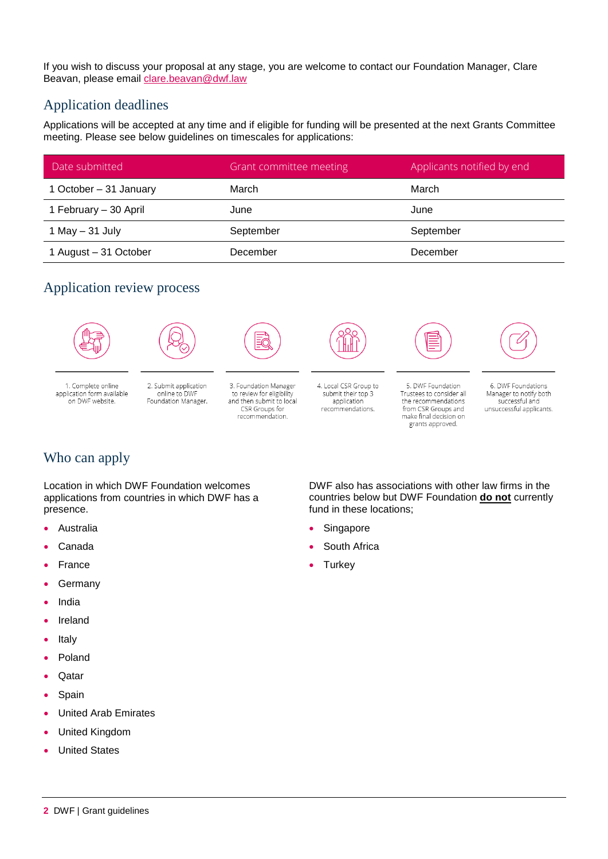If you wish to discuss your proposal at any stage, you are welcome to contact our Foundation Manager, Clare Beavan, please email [clare.beavan@dwf.law](mailto:clare.beavan@dwf.law)

## Application deadlines

Applications will be accepted at any time and if eligible for funding will be presented at the next Grants Committee meeting. Please see below guidelines on timescales for applications:

| Date submitted         | Grant committee meeting | Applicants notified by end |
|------------------------|-------------------------|----------------------------|
| 1 October - 31 January | March                   | March                      |
| 1 February - 30 April  | June                    | June                       |
| 1 May $-$ 31 July      | September               | September                  |
| 1 August - 31 October  | December                | December                   |

# Application review process





2. Submit application

online to DWF

Foundation Manager

1. Complete online application form available on DWF website.

ĒĆ

3. Foundation Manager to review for eligibility<br>and then submit to local CSR Groups for recommendation.



4. Local CSR Group to

submit their top 3

application

recommendations.

5. DWF Foundation Trustees to consider all the recommendations from CSR Groups and<br>make final decision on grants approved.



6. DWF Foundations Manager to notify both successful and unsuccessful applicants.

# Who can apply

Location in which DWF Foundation welcomes applications from countries in which DWF has a presence.

- Australia
- Canada
- France
- Germany
- India
- Ireland
- Italy
- Poland
- Qatar
- Spain
- United Arab Emirates
- United Kingdom
- United States

DWF also has associations with other law firms in the countries below but DWF Foundation **do not** currently fund in these locations;

- Singapore
- South Africa
- **Turkey**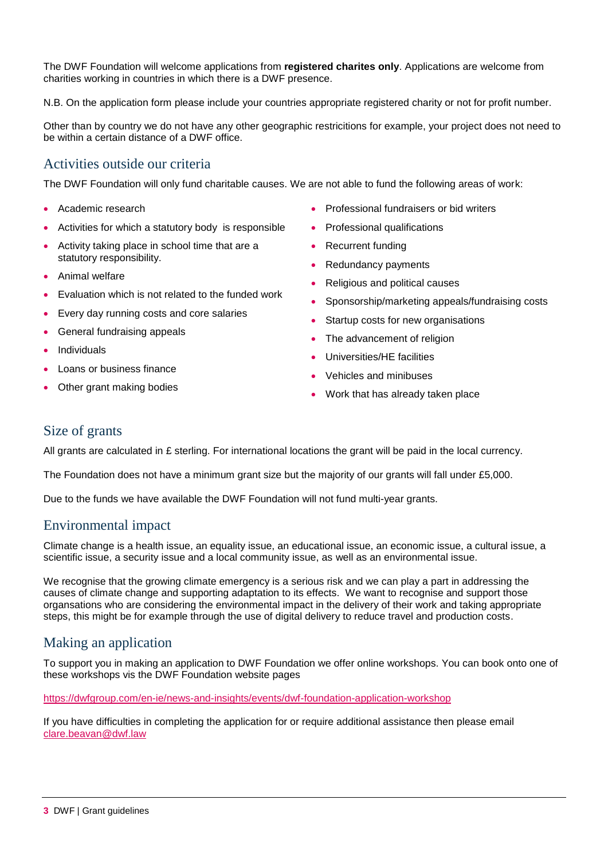The DWF Foundation will welcome applications from **registered charites only**. Applications are welcome from charities working in countries in which there is a DWF presence.

N.B. On the application form please include your countries appropriate registered charity or not for profit number.

Other than by country we do not have any other geographic restricitions for example, your project does not need to be within a certain distance of a DWF office.

## Activities outside our criteria

The DWF Foundation will only fund charitable causes. We are not able to fund the following areas of work:

- Academic research
- Activities for which a statutory body is responsible
- Activity taking place in school time that are a statutory responsibility.
- Animal welfare
- Evaluation which is not related to the funded work
- Every day running costs and core salaries
- General fundraising appeals
- Individuals
- Loans or business finance
- Other grant making bodies
- Professional fundraisers or bid writers
- Professional qualifications
- Recurrent funding
- Redundancy payments
- Religious and political causes
- Sponsorship/marketing appeals/fundraising costs
- Startup costs for new organisations
- The advancement of religion
- Universities/HE facilities
- Vehicles and minibuses
- Work that has already taken place

#### Size of grants

All grants are calculated in £ sterling. For international locations the grant will be paid in the local currency.

The Foundation does not have a minimum grant size but the majority of our grants will fall under £5,000.

Due to the funds we have available the DWF Foundation will not fund multi-year grants.

## Environmental impact

Climate change is a health issue, an equality issue, an educational issue, an economic issue, a cultural issue, a scientific issue, a security issue and a local community issue, as well as an environmental issue.

We recognise that the growing climate emergency is a serious risk and we can play a part in addressing the causes of climate change and supporting adaptation to its effects. We want to recognise and support those organsations who are considering the environmental impact in the delivery of their work and taking appropriate steps, this might be for example through the use of digital delivery to reduce travel and production costs.

## Making an application

To support you in making an application to DWF Foundation we offer online workshops. You can book onto one of these workshops vis the DWF Foundation website pages

<https://dwfgroup.com/en-ie/news-and-insights/events/dwf-foundation-application-workshop>

If you have difficulties in completing the application for or require additional assistance then please email [clare.beavan@dwf.law](mailto:clare.beavan@dwf.law)